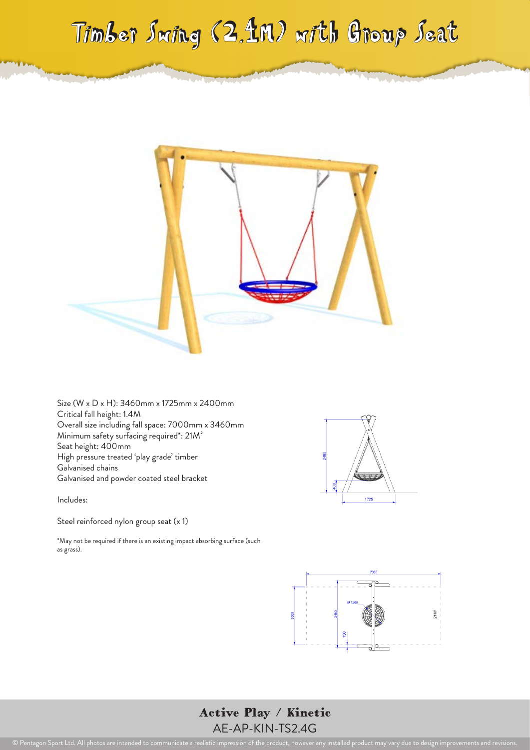## Timber Swing (2.4M) with Group Seat



Size (W x D x H): 3460mm x 1725mm x 2400mm Critical fall height: 1.4M Overall size including fall space: 7000mm x 3460mm Minimum safety surfacing required\*: 21M² Seat height: 400mm High pressure treated 'play grade' timber Galvanised chains Galvanised and powder coated steel bracket

Includes:

Steel reinforced nylon group seat (x 1)

\*May not be required if there is an existing impact absorbing surface (such as grass).





Active Play / Kinetic AE-AP-KIN-TS2.4G